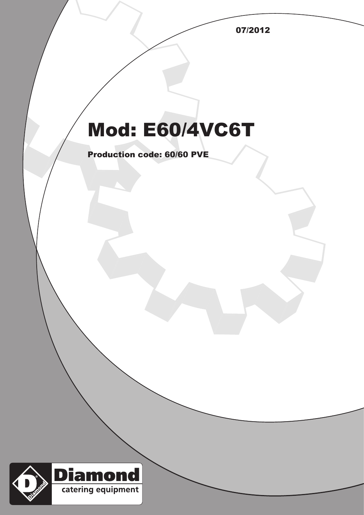07/2012

## Mod: E60/4VC6T

Production code: 60/60 PVE